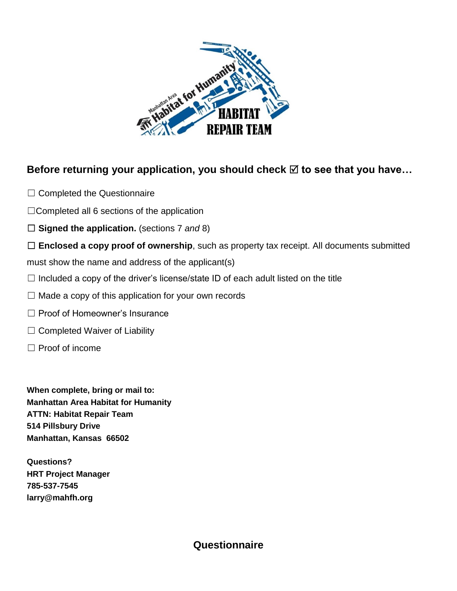

# Before returning your application, you should check **⊠** to see that you have...

- □ Completed the Questionnaire
- $\Box$ Completed all 6 sections of the application
- ☐ **Signed the application.** (sections 7 *and* 8)

□ **Enclosed a copy proof of ownership**, such as property tax receipt. All documents submitted

must show the name and address of the applicant(s)

- $\Box$  Included a copy of the driver's license/state ID of each adult listed on the title
- $\Box$  Made a copy of this application for your own records
- □ Proof of Homeowner's Insurance
- $\Box$  Completed Waiver of Liability
- ☐ Proof of income

**When complete, bring or mail to: Manhattan Area Habitat for Humanity ATTN: Habitat Repair Team 514 Pillsbury Drive Manhattan, Kansas 66502**

**Questions? HRT Project Manager 785-537-7545 larry@mahfh.org**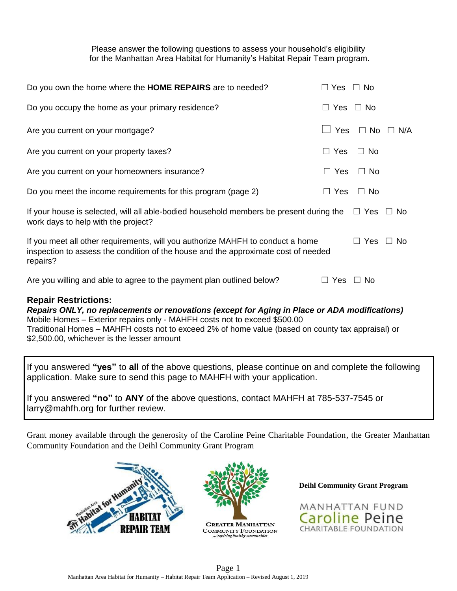Please answer the following questions to assess your household's eligibility for the Manhattan Area Habitat for Humanity's Habitat Repair Team program.

| <b>Repair Restrictions:</b>                                                                                                                                                      |               |     |                      |                      |
|----------------------------------------------------------------------------------------------------------------------------------------------------------------------------------|---------------|-----|----------------------|----------------------|
| Are you willing and able to agree to the payment plan outlined below?                                                                                                            | Yes<br>$\Box$ |     | $\Box$ No            |                      |
| If you meet all other requirements, will you authorize MAHFH to conduct a home<br>inspection to assess the condition of the house and the approximate cost of needed<br>repairs? |               |     | $\Box$ Yes           | $\Box$ No            |
| If your house is selected, will all able-bodied household members be present during the $\square$ Yes<br>work days to help with the project?                                     |               |     |                      | $\Box$ No            |
| Do you meet the income requirements for this program (page 2)                                                                                                                    | $\Box$        | Yes | $\Box$ No            |                      |
| Are you current on your homeowners insurance?                                                                                                                                    | $\Box$ Yes    |     | $\Box$ No            |                      |
| Are you current on your property taxes?                                                                                                                                          | $\Box$ Yes    |     | $\Box$ No            |                      |
| Are you current on your mortgage?                                                                                                                                                |               | Yes |                      | $\Box$ No $\Box$ N/A |
| Do you occupy the home as your primary residence?                                                                                                                                | $\Box$ Yes    |     | $\Box$ No            |                      |
| Do you own the home where the HOME REPAIRS are to needed?                                                                                                                        |               |     | $\Box$ Yes $\Box$ No |                      |

*Repairs ONLY, no replacements or renovations (except for Aging in Place or ADA modifications)* Mobile Homes – Exterior repairs only - MAHFH costs not to exceed \$500.00 Traditional Homes – MAHFH costs not to exceed 2% of home value (based on county tax appraisal) or \$2,500.00, whichever is the lesser amount

If you answered **"yes"** to **all** of the above questions, please continue on and complete the following application. Make sure to send this page to MAHFH with your application.

If you answered **"no"** to **ANY** of the above questions, contact MAHFH at 785-537-7545 or larry@mahfh.org for further review.

Grant money available through the generosity of the Caroline Peine Charitable Foundation, the Greater Manhattan Community Foundation and the Deihl Community Grant Program







**Deihl Community Grant Program**

MANHATTAN FUND Caroline Peine **CHARITABLE FOUNDATION**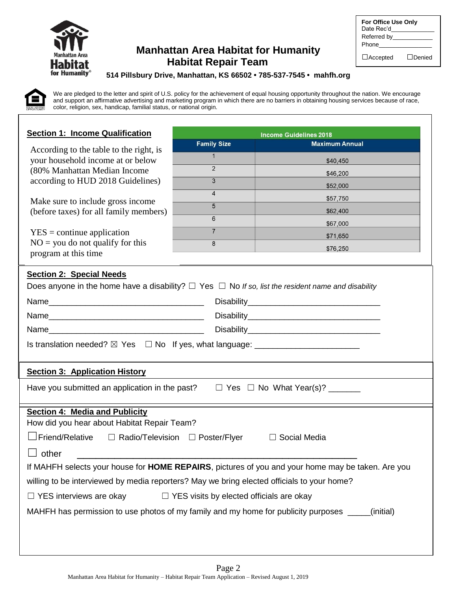

## **Manhattan Area Habitat for Humanity Habitat Repair Team**

| For Office Use Only       |               |
|---------------------------|---------------|
| Date Rec'd<br>Referred by |               |
| Phone                     |               |
| $\Box$ Accepted           | $\Box$ Denied |

#### **514 Pillsbury Drive, Manhattan, KS 66502 • 785-537-7545 • mahfh.org**

We are pledged to the letter and spirit of U.S. policy for the achievement of equal housing opportunity throughout the nation. We encourage and support an affirmative advertising and marketing program in which there are no barriers in obtaining housing services because of race, color, religion, sex, handicap, familial status, or national origin.

| <b>Section 1: Income Qualification</b>                                                                                                          |                                                 | <b>Income Guidelines 2018</b>                                                                             |
|-------------------------------------------------------------------------------------------------------------------------------------------------|-------------------------------------------------|-----------------------------------------------------------------------------------------------------------|
| According to the table to the right, is                                                                                                         | <b>Family Size</b>                              | <b>Maximum Annual</b>                                                                                     |
| your household income at or below                                                                                                               | 1                                               | \$40,450                                                                                                  |
| (80% Manhattan Median Income                                                                                                                    | $\mathfrak{p}$                                  | \$46,200                                                                                                  |
| according to HUD 2018 Guidelines)                                                                                                               | $\overline{3}$                                  | \$52,000                                                                                                  |
| Make sure to include gross income                                                                                                               | $\overline{4}$                                  | \$57,750                                                                                                  |
| (before taxes) for all family members)                                                                                                          | 5<br>6                                          | \$62,400                                                                                                  |
|                                                                                                                                                 | $\overline{7}$                                  | \$67,000                                                                                                  |
| $YES = continue application$<br>$NO =$ you do not qualify for this                                                                              | 8                                               | \$71,650                                                                                                  |
| program at this time                                                                                                                            |                                                 | \$76,250                                                                                                  |
| <b>Section 2: Special Needs</b><br>Does anyone in the home have a disability? $\Box$ Yes $\Box$ No If so, list the resident name and disability |                                                 |                                                                                                           |
|                                                                                                                                                 |                                                 |                                                                                                           |
|                                                                                                                                                 |                                                 |                                                                                                           |
| Is translation needed? ⊠ Yes □ No If yes, what language: _______________________                                                                |                                                 |                                                                                                           |
| <b>Section 3: Application History</b>                                                                                                           |                                                 |                                                                                                           |
| Have you submitted an application in the past?<br>$\Box$ Yes $\Box$ No What Year(s)? _______                                                    |                                                 |                                                                                                           |
| <b>Section 4: Media and Publicity</b><br>How did you hear about Habitat Repair Team?                                                            |                                                 |                                                                                                           |
| $\exists$ Friend/Relative<br>$\Box$ Radio/Television $\Box$ Poster/Flyer<br>Social Media                                                        |                                                 |                                                                                                           |
| other                                                                                                                                           |                                                 |                                                                                                           |
|                                                                                                                                                 |                                                 | If MAHFH selects your house for <b>HOME REPAIRS</b> , pictures of you and your home may be taken. Are you |
| willing to be interviewed by media reporters? May we bring elected officials to your home?                                                      |                                                 |                                                                                                           |
| $\Box$ YES interviews are okay                                                                                                                  | $\Box$ YES visits by elected officials are okay |                                                                                                           |
| MAHFH has permission to use photos of my family and my home for publicity purposes ____<br>(initial)                                            |                                                 |                                                                                                           |
|                                                                                                                                                 |                                                 |                                                                                                           |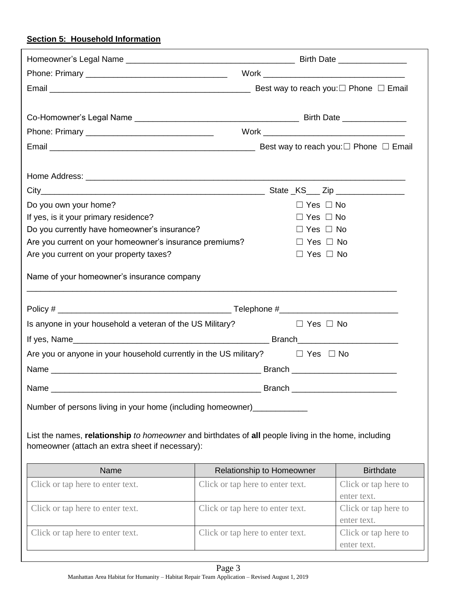### **Section 5: Household Information**

| Do you own your home?                                                                                                                                   |                                  | $\Box$ Yes $\Box$ No |                                     |
|---------------------------------------------------------------------------------------------------------------------------------------------------------|----------------------------------|----------------------|-------------------------------------|
| If yes, is it your primary residence?                                                                                                                   |                                  | $\Box$ Yes $\Box$ No |                                     |
| Do you currently have homeowner's insurance?                                                                                                            |                                  | $\Box$ Yes $\Box$ No |                                     |
| Are you current on your homeowner's insurance premiums?                                                                                                 |                                  | $\Box$ Yes $\Box$ No |                                     |
| Are you current on your property taxes?                                                                                                                 |                                  | $\Box$ Yes $\Box$ No |                                     |
| Name of your homeowner's insurance company                                                                                                              |                                  |                      |                                     |
|                                                                                                                                                         |                                  |                      |                                     |
| Is anyone in your household a veteran of the US Military?                                                                                               |                                  | $\Box$ Yes $\Box$ No |                                     |
|                                                                                                                                                         |                                  |                      |                                     |
| Are you or anyone in your household currently in the US military? $\square$ Yes $\square$ No                                                            |                                  |                      |                                     |
|                                                                                                                                                         |                                  |                      |                                     |
| Name _                                                                                                                                                  |                                  | Branch_              |                                     |
| Number of persons living in your home (including homeowner)______                                                                                       |                                  |                      |                                     |
| List the names, relationship to homeowner and birthdates of all people living in the home, including<br>homeowner (attach an extra sheet if necessary): |                                  |                      |                                     |
| Name                                                                                                                                                    | Relationship to Homeowner        |                      | <b>Birthdate</b>                    |
| Click or tap here to enter text.                                                                                                                        | Click or tap here to enter text. |                      | Click or tap here to                |
|                                                                                                                                                         |                                  |                      | enter text.                         |
| Click or tap here to enter text.                                                                                                                        | Click or tap here to enter text. |                      | Click or tap here to<br>enter text. |
| Click or tap here to enter text.                                                                                                                        | Click or tap here to enter text. |                      | Click or tap here to<br>enter text. |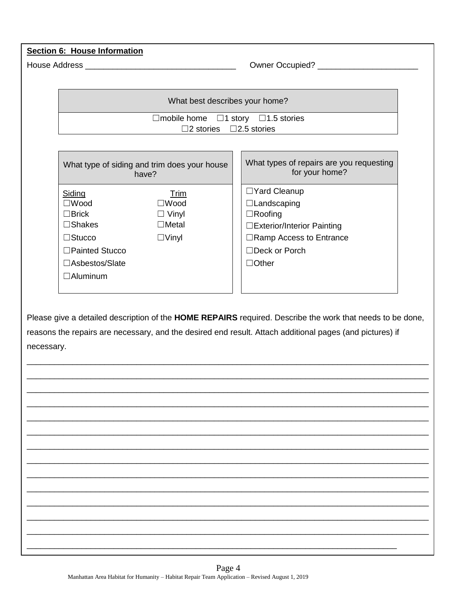| <b>Section 6: House Information</b> |                                                                                                                                                                                                                                     |                                                            |  |  |
|-------------------------------------|-------------------------------------------------------------------------------------------------------------------------------------------------------------------------------------------------------------------------------------|------------------------------------------------------------|--|--|
|                                     |                                                                                                                                                                                                                                     |                                                            |  |  |
|                                     |                                                                                                                                                                                                                                     |                                                            |  |  |
|                                     | What best describes your home?                                                                                                                                                                                                      |                                                            |  |  |
|                                     | $\Box$ mobile home $\Box$ 1 story $\Box$ 1.5 stories                                                                                                                                                                                |                                                            |  |  |
|                                     | $\Box$ 2 stories $\Box$ 2.5 stories                                                                                                                                                                                                 |                                                            |  |  |
|                                     |                                                                                                                                                                                                                                     |                                                            |  |  |
|                                     | What type of siding and trim does your house<br>have?                                                                                                                                                                               | What types of repairs are you requesting<br>for your home? |  |  |
|                                     | Siding<br><b>Trim</b>                                                                                                                                                                                                               | □Yard Cleanup                                              |  |  |
|                                     | $\square$ Wood<br>$\square$ Wood                                                                                                                                                                                                    | $\Box$ Landscaping                                         |  |  |
|                                     | $\Box$ Brick<br>$\Box$ Vinyl                                                                                                                                                                                                        | $\Box$ Roofing                                             |  |  |
|                                     | $\square$ Shakes<br>$\Box$ Metal                                                                                                                                                                                                    | □ Exterior/Interior Painting                               |  |  |
|                                     | $\square$ Stucco<br>$\Box$ Vinyl                                                                                                                                                                                                    | □Ramp Access to Entrance<br>$\Box$ Deck or Porch           |  |  |
|                                     | □Painted Stucco                                                                                                                                                                                                                     |                                                            |  |  |
|                                     | □Asbestos/Slate                                                                                                                                                                                                                     | $\Box$ Other                                               |  |  |
|                                     | $\Box$ Aluminum                                                                                                                                                                                                                     |                                                            |  |  |
|                                     | Please give a detailed description of the HOME REPAIRS required. Describe the work that needs to be done,<br>reasons the repairs are necessary, and the desired end result. Attach additional pages (and pictures) if<br>necessary. |                                                            |  |  |
|                                     |                                                                                                                                                                                                                                     |                                                            |  |  |
|                                     |                                                                                                                                                                                                                                     |                                                            |  |  |
|                                     |                                                                                                                                                                                                                                     |                                                            |  |  |
|                                     |                                                                                                                                                                                                                                     |                                                            |  |  |
|                                     |                                                                                                                                                                                                                                     |                                                            |  |  |
|                                     |                                                                                                                                                                                                                                     |                                                            |  |  |
|                                     |                                                                                                                                                                                                                                     |                                                            |  |  |
|                                     |                                                                                                                                                                                                                                     |                                                            |  |  |
|                                     |                                                                                                                                                                                                                                     |                                                            |  |  |
|                                     |                                                                                                                                                                                                                                     |                                                            |  |  |
|                                     |                                                                                                                                                                                                                                     |                                                            |  |  |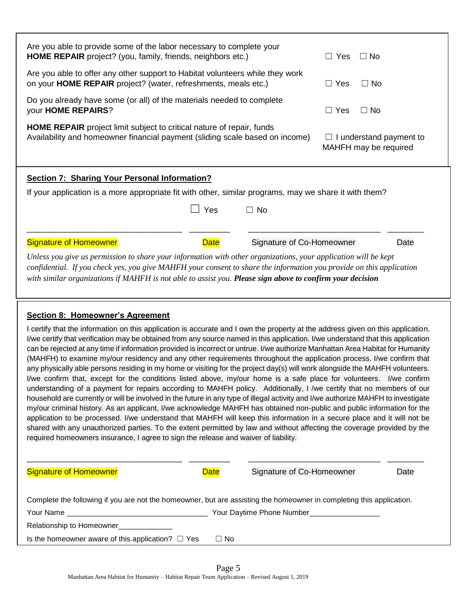| Are you able to provide some of the labor necessary to complete your<br><b>HOME REPAIR</b> project? (you, family, friends, neighbors etc.)                                                                                                                                                                                                                                                                                                                                                                                                                                                                                                                                                                                                                                                                                                                                                                                                                                                                                                                                                                                                                                                                                                                                                                                                                                                                                                                                                                                                                          |                                          | $\Box$ Yes<br>$\Box$ No                                 |
|---------------------------------------------------------------------------------------------------------------------------------------------------------------------------------------------------------------------------------------------------------------------------------------------------------------------------------------------------------------------------------------------------------------------------------------------------------------------------------------------------------------------------------------------------------------------------------------------------------------------------------------------------------------------------------------------------------------------------------------------------------------------------------------------------------------------------------------------------------------------------------------------------------------------------------------------------------------------------------------------------------------------------------------------------------------------------------------------------------------------------------------------------------------------------------------------------------------------------------------------------------------------------------------------------------------------------------------------------------------------------------------------------------------------------------------------------------------------------------------------------------------------------------------------------------------------|------------------------------------------|---------------------------------------------------------|
| Are you able to offer any other support to Habitat volunteers while they work<br>on your <b>HOME REPAIR</b> project? (water, refreshments, meals etc.)                                                                                                                                                                                                                                                                                                                                                                                                                                                                                                                                                                                                                                                                                                                                                                                                                                                                                                                                                                                                                                                                                                                                                                                                                                                                                                                                                                                                              |                                          | $\Box$ Yes<br>$\Box$ No                                 |
| Do you already have some (or all) of the materials needed to complete<br>your HOME REPAIRS?                                                                                                                                                                                                                                                                                                                                                                                                                                                                                                                                                                                                                                                                                                                                                                                                                                                                                                                                                                                                                                                                                                                                                                                                                                                                                                                                                                                                                                                                         |                                          | $\Box$ Yes<br>$\Box$ No                                 |
| <b>HOME REPAIR</b> project limit subject to critical nature of repair, funds<br>Availability and homeowner financial payment (sliding scale based on income)                                                                                                                                                                                                                                                                                                                                                                                                                                                                                                                                                                                                                                                                                                                                                                                                                                                                                                                                                                                                                                                                                                                                                                                                                                                                                                                                                                                                        |                                          | $\Box$ I understand payment to<br>MAHFH may be required |
| <b>Section 7: Sharing Your Personal Information?</b><br>If your application is a more appropriate fit with other, similar programs, may we share it with them?                                                                                                                                                                                                                                                                                                                                                                                                                                                                                                                                                                                                                                                                                                                                                                                                                                                                                                                                                                                                                                                                                                                                                                                                                                                                                                                                                                                                      |                                          |                                                         |
|                                                                                                                                                                                                                                                                                                                                                                                                                                                                                                                                                                                                                                                                                                                                                                                                                                                                                                                                                                                                                                                                                                                                                                                                                                                                                                                                                                                                                                                                                                                                                                     | Yes<br>$\Box$ No                         |                                                         |
|                                                                                                                                                                                                                                                                                                                                                                                                                                                                                                                                                                                                                                                                                                                                                                                                                                                                                                                                                                                                                                                                                                                                                                                                                                                                                                                                                                                                                                                                                                                                                                     |                                          |                                                         |
| <b>Signature of Homeowner</b><br>Unless you give us permission to share your information with other organizations, your application will be kept<br>confidential. If you check yes, you give MAHFH your consent to share the information you provide on this application                                                                                                                                                                                                                                                                                                                                                                                                                                                                                                                                                                                                                                                                                                                                                                                                                                                                                                                                                                                                                                                                                                                                                                                                                                                                                            | <b>Date</b><br>Signature of Co-Homeowner | Date                                                    |
| with similar organizations if MAHFH is not able to assist you. Please sign above to confirm your decision                                                                                                                                                                                                                                                                                                                                                                                                                                                                                                                                                                                                                                                                                                                                                                                                                                                                                                                                                                                                                                                                                                                                                                                                                                                                                                                                                                                                                                                           |                                          |                                                         |
| <b>Section 8: Homeowner's Agreement</b><br>I certify that the information on this application is accurate and I own the property at the address given on this application.<br>I/we certify that verification may be obtained from any source named in this application. I/we understand that this application<br>can be rejected at any time if information provided is incorrect or untrue. I/we authorize Manhattan Area Habitat for Humanity<br>(MAHFH) to examine my/our residency and any other requirements throughout the application process. I/we confirm that<br>any physically able persons residing in my home or visiting for the project day(s) will work alongside the MAHFH volunteers.<br>I/we confirm that, except for the conditions listed above, my/our home is a safe place for volunteers. I/we confirm<br>understanding of a payment for repairs according to MAHFH policy. Additionally, I /we certify that no members of our<br>household are currently or will be involved in the future in any type of illegal activity and I/we authorize MAHFH to investigate<br>my/our criminal history. As an applicant, I/we acknowledge MAHFH has obtained non-public and public information for the<br>application to be processed. I/we understand that MAHFH will keep this information in a secure place and it will not be<br>shared with any unauthorized parties. To the extent permitted by law and without affecting the coverage provided by the<br>required homeowners insurance, I agree to sign the release and waiver of liability. |                                          |                                                         |
| <b>Signature of Homeowner</b>                                                                                                                                                                                                                                                                                                                                                                                                                                                                                                                                                                                                                                                                                                                                                                                                                                                                                                                                                                                                                                                                                                                                                                                                                                                                                                                                                                                                                                                                                                                                       | <b>Date</b><br>Signature of Co-Homeowner | Date                                                    |
| Complete the following if you are not the homeowner, but are assisting the homeowner in completing this application.                                                                                                                                                                                                                                                                                                                                                                                                                                                                                                                                                                                                                                                                                                                                                                                                                                                                                                                                                                                                                                                                                                                                                                                                                                                                                                                                                                                                                                                |                                          |                                                         |
|                                                                                                                                                                                                                                                                                                                                                                                                                                                                                                                                                                                                                                                                                                                                                                                                                                                                                                                                                                                                                                                                                                                                                                                                                                                                                                                                                                                                                                                                                                                                                                     |                                          |                                                         |

Is the homeowner aware of this application?  $□$  Yes  $□$  No